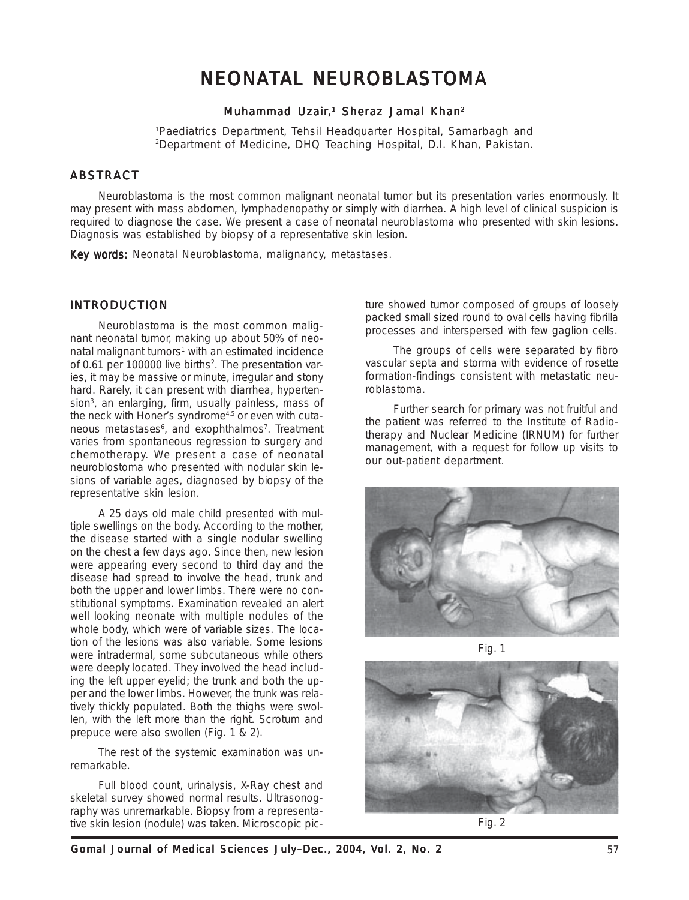# NEONATAL NEUROBLASTOMA

# Muhammad Uzair,<sup>1</sup> Sheraz Jamal Khan<sup>2</sup>

1 Paediatrics Department, Tehsil Headquarter Hospital, Samarbagh and 2 Department of Medicine, DHQ Teaching Hospital, D.I. Khan, Pakistan.

# **ABSTRACT**

Neuroblastoma is the most common malignant neonatal tumor but its presentation varies enormously. It may present with mass abdomen, lymphadenopathy or simply with diarrhea. A high level of clinical suspicion is required to diagnose the case. We present a case of neonatal neuroblastoma who presented with skin lesions. Diagnosis was established by biopsy of a representative skin lesion.

Key words: Neonatal Neuroblastoma, malignancy, metastases.

## INTRODUCTION

Neuroblastoma is the most common malignant neonatal tumor, making up about 50% of neonatal malignant tumors<sup>1</sup> with an estimated incidence of 0.61 per 100000 live births<sup>2</sup>. The presentation varies, it may be massive or minute, irregular and stony hard. Rarely, it can present with diarrhea, hypertension<sup>3</sup>, an enlarging, firm, usually painless, mass of the neck with Honer's syndrome<sup>4,5</sup> or even with cutaneous metastases<sup>6</sup>, and exophthalmos<sup>7</sup>. Treatment varies from spontaneous regression to surgery and chemotherapy. We present a case of neonatal neuroblostoma who presented with nodular skin lesions of variable ages, diagnosed by biopsy of the representative skin lesion.

A 25 days old male child presented with multiple swellings on the body. According to the mother, the disease started with a single nodular swelling on the chest a few days ago. Since then, new lesion were appearing every second to third day and the disease had spread to involve the head, trunk and both the upper and lower limbs. There were no constitutional symptoms. Examination revealed an alert well looking neonate with multiple nodules of the whole body, which were of variable sizes. The location of the lesions was also variable. Some lesions were intradermal, some subcutaneous while others were deeply located. They involved the head including the left upper eyelid; the trunk and both the upper and the lower limbs. However, the trunk was relatively thickly populated. Both the thighs were swollen, with the left more than the right. Scrotum and prepuce were also swollen (Fig. 1 & 2).

The rest of the systemic examination was unremarkable.

Full blood count, urinalysis, X-Ray chest and skeletal survey showed normal results. Ultrasonography was unremarkable. Biopsy from a representative skin lesion (nodule) was taken. Microscopic picture showed tumor composed of groups of loosely packed small sized round to oval cells having fibrilla processes and interspersed with few gaglion cells.

The groups of cells were separated by fibro vascular septa and storma with evidence of rosette formation-findings consistent with metastatic neuroblastoma.

Further search for primary was not fruitful and the patient was referred to the Institute of Radiotherapy and Nuclear Medicine (IRNUM) for further management, with a request for follow up visits to our out-patient department.







Fig. 2